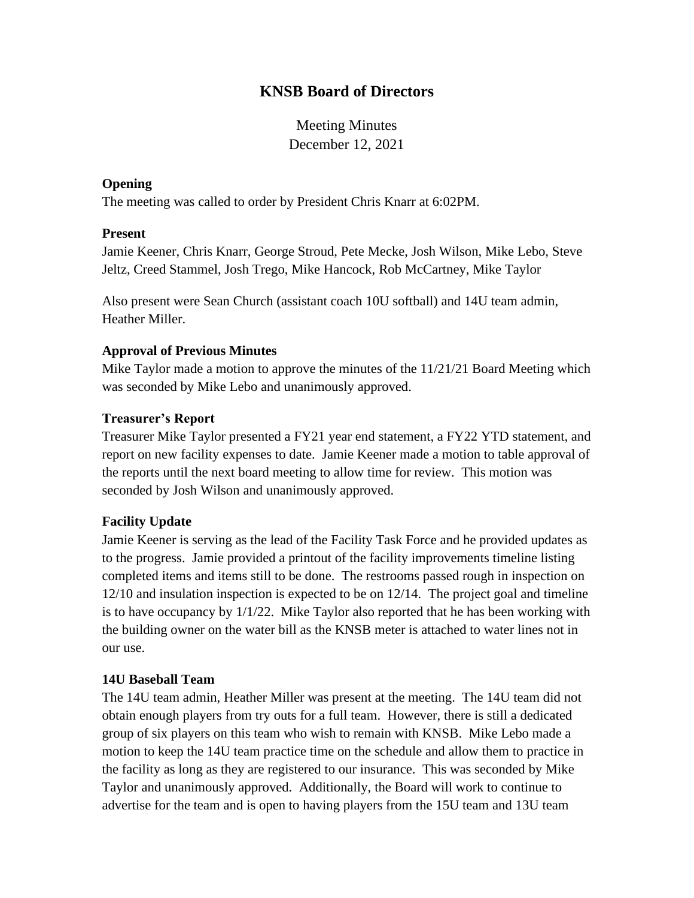# **KNSB Board of Directors**

Meeting Minutes December 12, 2021

## **Opening**

The meeting was called to order by President Chris Knarr at 6:02PM.

## **Present**

Jamie Keener, Chris Knarr, George Stroud, Pete Mecke, Josh Wilson, Mike Lebo, Steve Jeltz, Creed Stammel, Josh Trego, Mike Hancock, Rob McCartney, Mike Taylor

Also present were Sean Church (assistant coach 10U softball) and 14U team admin, Heather Miller.

# **Approval of Previous Minutes**

Mike Taylor made a motion to approve the minutes of the 11/21/21 Board Meeting which was seconded by Mike Lebo and unanimously approved.

## **Treasurer's Report**

Treasurer Mike Taylor presented a FY21 year end statement, a FY22 YTD statement, and report on new facility expenses to date. Jamie Keener made a motion to table approval of the reports until the next board meeting to allow time for review. This motion was seconded by Josh Wilson and unanimously approved.

# **Facility Update**

Jamie Keener is serving as the lead of the Facility Task Force and he provided updates as to the progress. Jamie provided a printout of the facility improvements timeline listing completed items and items still to be done. The restrooms passed rough in inspection on 12/10 and insulation inspection is expected to be on 12/14. The project goal and timeline is to have occupancy by  $1/1/22$ . Mike Taylor also reported that he has been working with the building owner on the water bill as the KNSB meter is attached to water lines not in our use.

#### **14U Baseball Team**

The 14U team admin, Heather Miller was present at the meeting. The 14U team did not obtain enough players from try outs for a full team. However, there is still a dedicated group of six players on this team who wish to remain with KNSB. Mike Lebo made a motion to keep the 14U team practice time on the schedule and allow them to practice in the facility as long as they are registered to our insurance. This was seconded by Mike Taylor and unanimously approved. Additionally, the Board will work to continue to advertise for the team and is open to having players from the 15U team and 13U team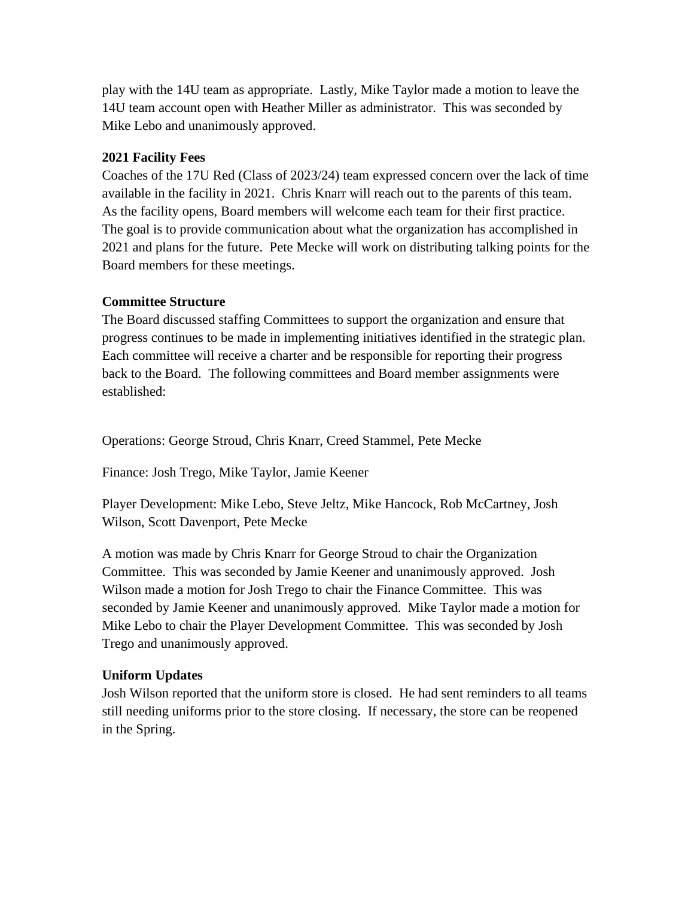play with the 14U team as appropriate. Lastly, Mike Taylor made a motion to leave the 14U team account open with Heather Miller as administrator. This was seconded by Mike Lebo and unanimously approved.

# **2021 Facility Fees**

Coaches of the 17U Red (Class of 2023/24) team expressed concern over the lack of time available in the facility in 2021. Chris Knarr will reach out to the parents of this team. As the facility opens, Board members will welcome each team for their first practice. The goal is to provide communication about what the organization has accomplished in 2021 and plans for the future. Pete Mecke will work on distributing talking points for the Board members for these meetings.

# **Committee Structure**

The Board discussed staffing Committees to support the organization and ensure that progress continues to be made in implementing initiatives identified in the strategic plan. Each committee will receive a charter and be responsible for reporting their progress back to the Board. The following committees and Board member assignments were established:

Operations: George Stroud, Chris Knarr, Creed Stammel, Pete Mecke

Finance: Josh Trego, Mike Taylor, Jamie Keener

Player Development: Mike Lebo, Steve Jeltz, Mike Hancock, Rob McCartney, Josh Wilson, Scott Davenport, Pete Mecke

A motion was made by Chris Knarr for George Stroud to chair the Organization Committee. This was seconded by Jamie Keener and unanimously approved. Josh Wilson made a motion for Josh Trego to chair the Finance Committee. This was seconded by Jamie Keener and unanimously approved. Mike Taylor made a motion for Mike Lebo to chair the Player Development Committee. This was seconded by Josh Trego and unanimously approved.

# **Uniform Updates**

Josh Wilson reported that the uniform store is closed. He had sent reminders to all teams still needing uniforms prior to the store closing. If necessary, the store can be reopened in the Spring.